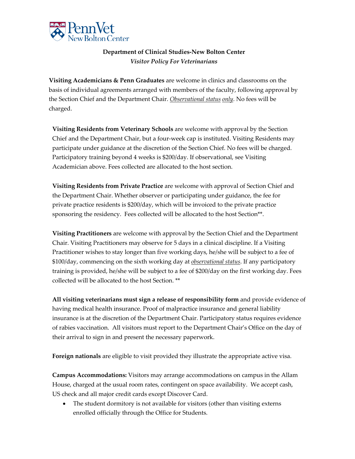

## **Department of Clinical Studies-New Bolton Center** *Visitor Policy For Veterinarians*

**Visiting Academicians & Penn Graduates** are welcome in clinics and classrooms on the basis of individual agreements arranged with members of the faculty, following approval by the Section Chief and the Department Chair. *Observational status only*. No fees will be charged.

**Visiting Residents from Veterinary Schools** are welcome with approval by the Section Chief and the Department Chair, but a four-week cap is instituted. Visiting Residents may participate under guidance at the discretion of the Section Chief. No fees will be charged. Participatory training beyond 4 weeks is \$200/day. If observational, see Visiting Academician above. Fees collected are allocated to the host section.

**Visiting Residents from Private Practice** are welcome with approval of Section Chief and the Department Chair. Whether observer or participating under guidance, the fee for private practice residents is \$200/day, which will be invoiced to the private practice sponsoring the residency. Fees collected will be allocated to the host Section\*\*.

**Visiting Practitioners** are welcome with approval by the Section Chief and the Department Chair. Visiting Practitioners may observe for 5 days in a clinical discipline. If a Visiting Practitioner wishes to stay longer than five working days, he/she will be subject to a fee of \$100/day, commencing on the sixth working day at *observational status*. If any participatory training is provided, he/she will be subject to a fee of \$200/day on the first working day. Fees collected will be allocated to the host Section. \*\*

**All visiting veterinarians must sign a release of responsibility form** and provide evidence of having medical health insurance. Proof of malpractice insurance and general liability insurance is at the discretion of the Department Chair. Participatory status requires evidence of rabies vaccination. All visitors must report to the Department Chair's Office on the day of their arrival to sign in and present the necessary paperwork.

**Foreign nationals** are eligible to visit provided they illustrate the appropriate active visa.

**Campus Accommodations:** Visitors may arrange accommodations on campus in the Allam House, charged at the usual room rates, contingent on space availability. We accept cash, US check and all major credit cards except Discover Card.

• The student dormitory is not available for visitors (other than visiting externs enrolled officially through the Office for Students.